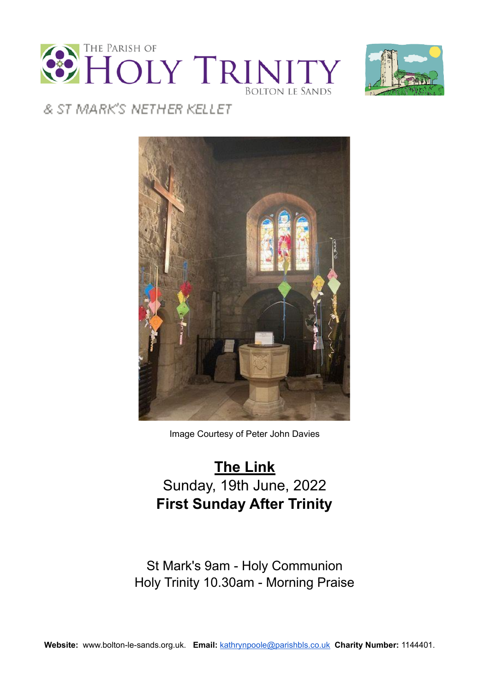



# & ST MARK'S NETHER KELLET



Image Courtesy of Peter John Davies

# **The Link** Sunday, 19th June, 2022 **First Sunday After Trinity**

St Mark's 9am - Holy Communion Holy Trinity 10.30am - Morning Praise

**Website:** www.bolton-le-sands.org.uk. **Email:** [kathrynpoole@parishbls.co.uk](mailto:kathrynpoole@parishbls.co.uk) **Charity Number:** 1144401.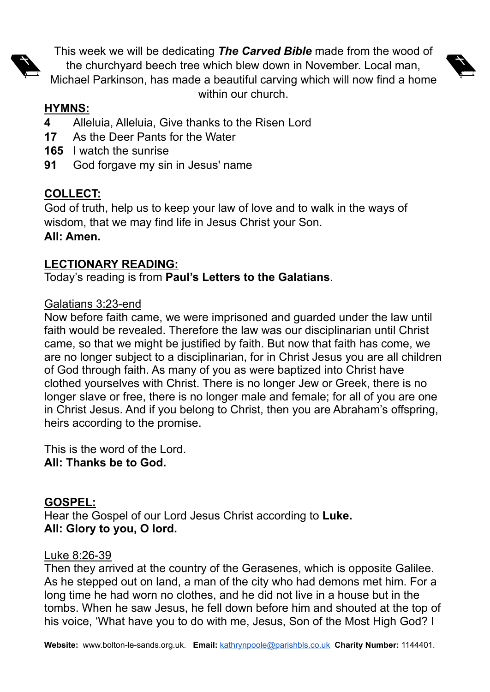This week we will be dedicating *The Carved Bible* made from the wood of

the churchyard beech tree which blew down in November. Local man, Michael Parkinson, has made a beautiful carving which will now find a home within our church.

#### **HYMNS:**

- **4** Alleluia, Alleluia, Give thanks to the Risen Lord
- **17** As the Deer Pants for the Water
- **165** I watch the sunrise
- **91** God forgave my sin in Jesus' name

# **COLLECT:**

God of truth, help us to keep your law of love and to walk in the ways of wisdom, that we may find life in Jesus Christ your Son.

## **All: Amen.**

## **LECTIONARY READING:**

Today's reading is from **Paul's Letters to the Galatians**.

#### Galatians 3:23-end

Now before faith came, we were imprisoned and guarded under the law until faith would be revealed. Therefore the law was our disciplinarian until Christ came, so that we might be justified by faith. But now that faith has come, we are no longer subject to a disciplinarian, for in Christ Jesus you are all children of God through faith. As many of you as were baptized into Christ have clothed yourselves with Christ. There is no longer Jew or Greek, there is no longer slave or free, there is no longer male and female; for all of you are one in Christ Jesus. And if you belong to Christ, then you are Abraham's offspring, heirs according to the promise.

This is the word of the Lord. **All: Thanks be to God.**

#### **GOSPEL:**

Hear the Gospel of our Lord Jesus Christ according to **Luke. All: Glory to you, O lord.**

#### Luke 8:26-39

Then they arrived at the country of the Gerasenes, which is opposite Galilee. As he stepped out on land, a man of the city who had demons met him. For a long time he had worn no clothes, and he did not live in a house but in the tombs. When he saw Jesus, he fell down before him and shouted at the top of his voice, 'What have you to do with me, Jesus, Son of the Most High God? I

**Website:** www.bolton-le-sands.org.uk. **Email:** [kathrynpoole@parishbls.co.uk](mailto:kathrynpoole@parishbls.co.uk) **Charity Number:** 1144401.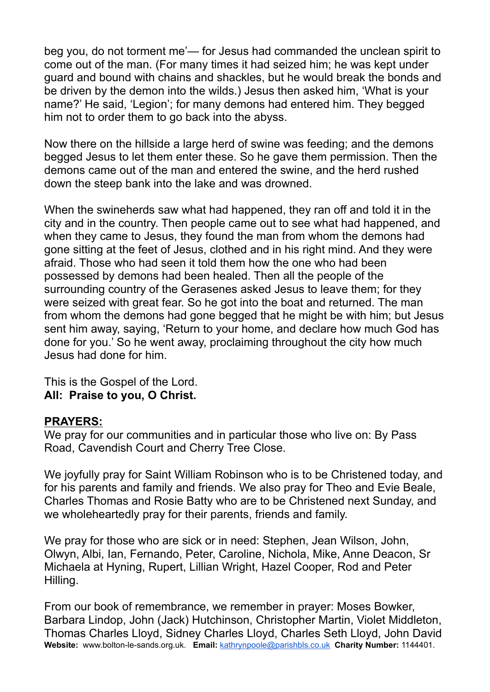beg you, do not torment me'— for Jesus had commanded the unclean spirit to come out of the man. (For many times it had seized him; he was kept under guard and bound with chains and shackles, but he would break the bonds and be driven by the demon into the wilds.) Jesus then asked him, 'What is your name?' He said, 'Legion'; for many demons had entered him. They begged him not to order them to go back into the abyss.

Now there on the hillside a large herd of swine was feeding; and the demons begged Jesus to let them enter these. So he gave them permission. Then the demons came out of the man and entered the swine, and the herd rushed down the steep bank into the lake and was drowned.

When the swineherds saw what had happened, they ran off and told it in the city and in the country. Then people came out to see what had happened, and when they came to Jesus, they found the man from whom the demons had gone sitting at the feet of Jesus, clothed and in his right mind. And they were afraid. Those who had seen it told them how the one who had been possessed by demons had been healed. Then all the people of the surrounding country of the Gerasenes asked Jesus to leave them; for they were seized with great fear. So he got into the boat and returned. The man from whom the demons had gone begged that he might be with him; but Jesus sent him away, saying, 'Return to your home, and declare how much God has done for you.' So he went away, proclaiming throughout the city how much Jesus had done for him.

This is the Gospel of the Lord. **All: Praise to you, O Christ.**

#### **PRAYERS:**

We pray for our communities and in particular those who live on: By Pass Road, Cavendish Court and Cherry Tree Close.

We joyfully pray for Saint William Robinson who is to be Christened today, and for his parents and family and friends. We also pray for Theo and Evie Beale, Charles Thomas and Rosie Batty who are to be Christened next Sunday, and we wholeheartedly pray for their parents, friends and family.

We pray for those who are sick or in need: Stephen, Jean Wilson, John, Olwyn, Albi, Ian, Fernando, Peter, Caroline, Nichola, Mike, Anne Deacon, Sr Michaela at Hyning, Rupert, Lillian Wright, Hazel Cooper, Rod and Peter Hilling.

From our book of remembrance, we remember in prayer: Moses Bowker, Barbara Lindop, John (Jack) Hutchinson, Christopher Martin, Violet Middleton, Thomas Charles Lloyd, Sidney Charles Lloyd, Charles Seth Lloyd, John David **Website:** www.bolton-le-sands.org.uk. **Email:** [kathrynpoole@parishbls.co.uk](mailto:kathrynpoole@parishbls.co.uk) **Charity Number:** 1144401.